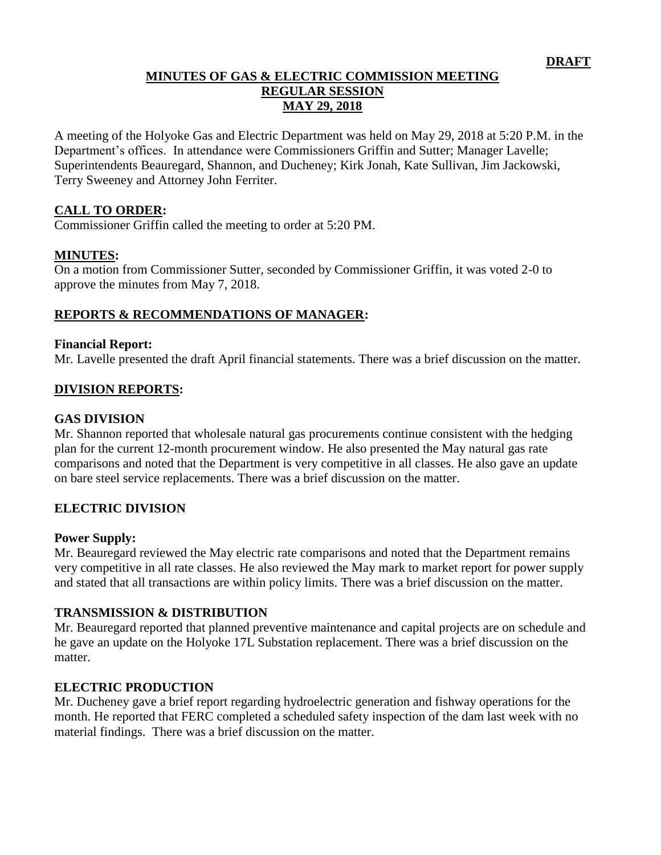### **MINUTES OF GAS & ELECTRIC COMMISSION MEETING REGULAR SESSION MAY 29, 2018**

A meeting of the Holyoke Gas and Electric Department was held on May 29, 2018 at 5:20 P.M. in the Department's offices. In attendance were Commissioners Griffin and Sutter; Manager Lavelle; Superintendents Beauregard, Shannon, and Ducheney; Kirk Jonah, Kate Sullivan, Jim Jackowski, Terry Sweeney and Attorney John Ferriter.

### **CALL TO ORDER:**

Commissioner Griffin called the meeting to order at 5:20 PM.

### **MINUTES:**

On a motion from Commissioner Sutter, seconded by Commissioner Griffin, it was voted 2-0 to approve the minutes from May 7, 2018.

### **REPORTS & RECOMMENDATIONS OF MANAGER:**

#### **Financial Report:**

Mr. Lavelle presented the draft April financial statements. There was a brief discussion on the matter.

### **DIVISION REPORTS:**

#### **GAS DIVISION**

Mr. Shannon reported that wholesale natural gas procurements continue consistent with the hedging plan for the current 12-month procurement window. He also presented the May natural gas rate comparisons and noted that the Department is very competitive in all classes. He also gave an update on bare steel service replacements. There was a brief discussion on the matter.

### **ELECTRIC DIVISION**

### **Power Supply:**

Mr. Beauregard reviewed the May electric rate comparisons and noted that the Department remains very competitive in all rate classes. He also reviewed the May mark to market report for power supply and stated that all transactions are within policy limits. There was a brief discussion on the matter.

### **TRANSMISSION & DISTRIBUTION**

Mr. Beauregard reported that planned preventive maintenance and capital projects are on schedule and he gave an update on the Holyoke 17L Substation replacement. There was a brief discussion on the matter.

### **ELECTRIC PRODUCTION**

Mr. Ducheney gave a brief report regarding hydroelectric generation and fishway operations for the month. He reported that FERC completed a scheduled safety inspection of the dam last week with no material findings. There was a brief discussion on the matter.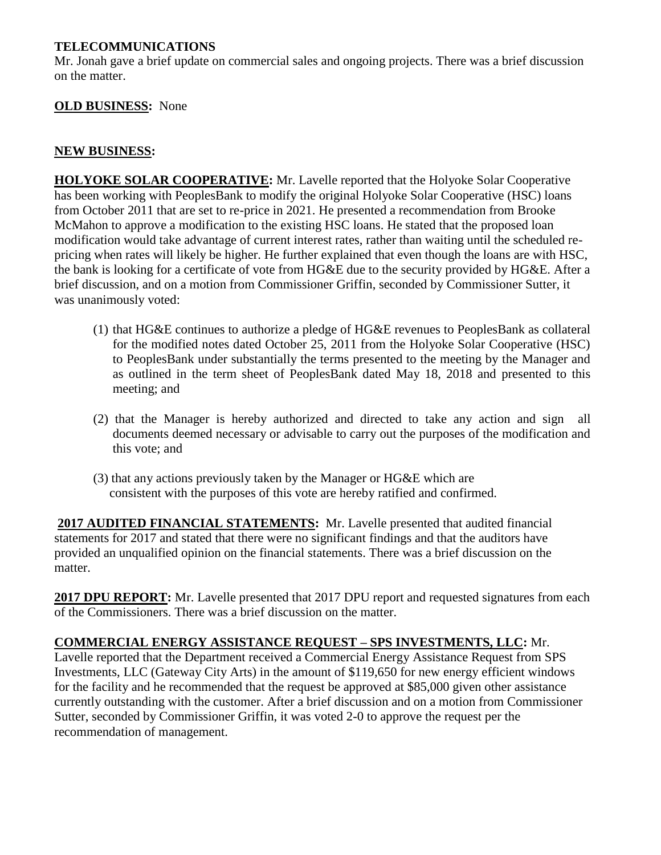### **TELECOMMUNICATIONS**

Mr. Jonah gave a brief update on commercial sales and ongoing projects. There was a brief discussion on the matter.

### **OLD BUSINESS:** None

### **NEW BUSINESS:**

**HOLYOKE SOLAR COOPERATIVE:** Mr. Lavelle reported that the Holyoke Solar Cooperative has been working with PeoplesBank to modify the original Holyoke Solar Cooperative (HSC) loans from October 2011 that are set to re-price in 2021. He presented a recommendation from Brooke McMahon to approve a modification to the existing HSC loans. He stated that the proposed loan modification would take advantage of current interest rates, rather than waiting until the scheduled repricing when rates will likely be higher. He further explained that even though the loans are with HSC, the bank is looking for a certificate of vote from HG&E due to the security provided by HG&E. After a brief discussion, and on a motion from Commissioner Griffin, seconded by Commissioner Sutter, it was unanimously voted:

- (1) that HG&E continues to authorize a pledge of HG&E revenues to PeoplesBank as collateral for the modified notes dated October 25, 2011 from the Holyoke Solar Cooperative (HSC) to PeoplesBank under substantially the terms presented to the meeting by the Manager and as outlined in the term sheet of PeoplesBank dated May 18, 2018 and presented to this meeting; and
- (2) that the Manager is hereby authorized and directed to take any action and sign all documents deemed necessary or advisable to carry out the purposes of the modification and this vote; and
- (3) that any actions previously taken by the Manager or HG&E which are consistent with the purposes of this vote are hereby ratified and confirmed.

**2017 AUDITED FINANCIAL STATEMENTS:** Mr. Lavelle presented that audited financial statements for 2017 and stated that there were no significant findings and that the auditors have provided an unqualified opinion on the financial statements. There was a brief discussion on the matter.

**2017 DPU REPORT:** Mr. Lavelle presented that 2017 DPU report and requested signatures from each of the Commissioners. There was a brief discussion on the matter.

# **COMMERCIAL ENERGY ASSISTANCE REQUEST – SPS INVESTMENTS, LLC:** Mr.

Lavelle reported that the Department received a Commercial Energy Assistance Request from SPS Investments, LLC (Gateway City Arts) in the amount of \$119,650 for new energy efficient windows for the facility and he recommended that the request be approved at \$85,000 given other assistance currently outstanding with the customer. After a brief discussion and on a motion from Commissioner Sutter, seconded by Commissioner Griffin, it was voted 2-0 to approve the request per the recommendation of management.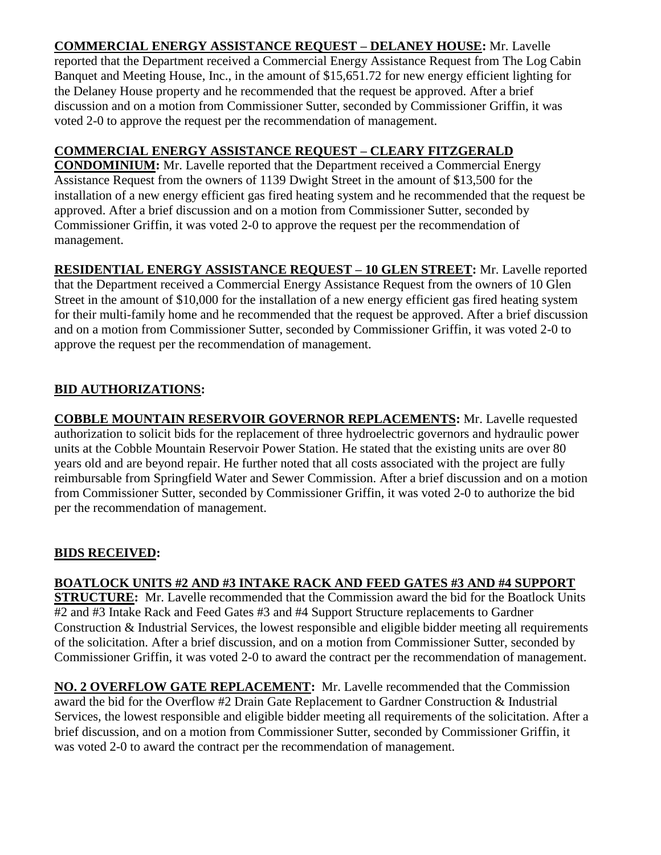# **COMMERCIAL ENERGY ASSISTANCE REQUEST – DELANEY HOUSE:** Mr. Lavelle

reported that the Department received a Commercial Energy Assistance Request from The Log Cabin Banquet and Meeting House, Inc., in the amount of \$15,651.72 for new energy efficient lighting for the Delaney House property and he recommended that the request be approved. After a brief discussion and on a motion from Commissioner Sutter, seconded by Commissioner Griffin, it was voted 2-0 to approve the request per the recommendation of management.

# **COMMERCIAL ENERGY ASSISTANCE REQUEST – CLEARY FITZGERALD**

**CONDOMINIUM:** Mr. Lavelle reported that the Department received a Commercial Energy Assistance Request from the owners of 1139 Dwight Street in the amount of \$13,500 for the installation of a new energy efficient gas fired heating system and he recommended that the request be approved. After a brief discussion and on a motion from Commissioner Sutter, seconded by Commissioner Griffin, it was voted 2-0 to approve the request per the recommendation of management.

**RESIDENTIAL ENERGY ASSISTANCE REQUEST – 10 GLEN STREET:** Mr. Lavelle reported that the Department received a Commercial Energy Assistance Request from the owners of 10 Glen Street in the amount of \$10,000 for the installation of a new energy efficient gas fired heating system for their multi-family home and he recommended that the request be approved. After a brief discussion and on a motion from Commissioner Sutter, seconded by Commissioner Griffin, it was voted 2-0 to approve the request per the recommendation of management.

# **BID AUTHORIZATIONS:**

**COBBLE MOUNTAIN RESERVOIR GOVERNOR REPLACEMENTS:** Mr. Lavelle requested authorization to solicit bids for the replacement of three hydroelectric governors and hydraulic power units at the Cobble Mountain Reservoir Power Station. He stated that the existing units are over 80 years old and are beyond repair. He further noted that all costs associated with the project are fully reimbursable from Springfield Water and Sewer Commission. After a brief discussion and on a motion from Commissioner Sutter, seconded by Commissioner Griffin, it was voted 2-0 to authorize the bid per the recommendation of management.

# **BIDS RECEIVED:**

# **BOATLOCK UNITS #2 AND #3 INTAKE RACK AND FEED GATES #3 AND #4 SUPPORT**

**STRUCTURE:** Mr. Lavelle recommended that the Commission award the bid for the Boatlock Units #2 and #3 Intake Rack and Feed Gates #3 and #4 Support Structure replacements to Gardner Construction & Industrial Services, the lowest responsible and eligible bidder meeting all requirements of the solicitation. After a brief discussion, and on a motion from Commissioner Sutter, seconded by Commissioner Griffin, it was voted 2-0 to award the contract per the recommendation of management.

**NO. 2 OVERFLOW GATE REPLACEMENT:** Mr. Lavelle recommended that the Commission award the bid for the Overflow #2 Drain Gate Replacement to Gardner Construction & Industrial Services, the lowest responsible and eligible bidder meeting all requirements of the solicitation. After a brief discussion, and on a motion from Commissioner Sutter, seconded by Commissioner Griffin, it was voted 2-0 to award the contract per the recommendation of management.